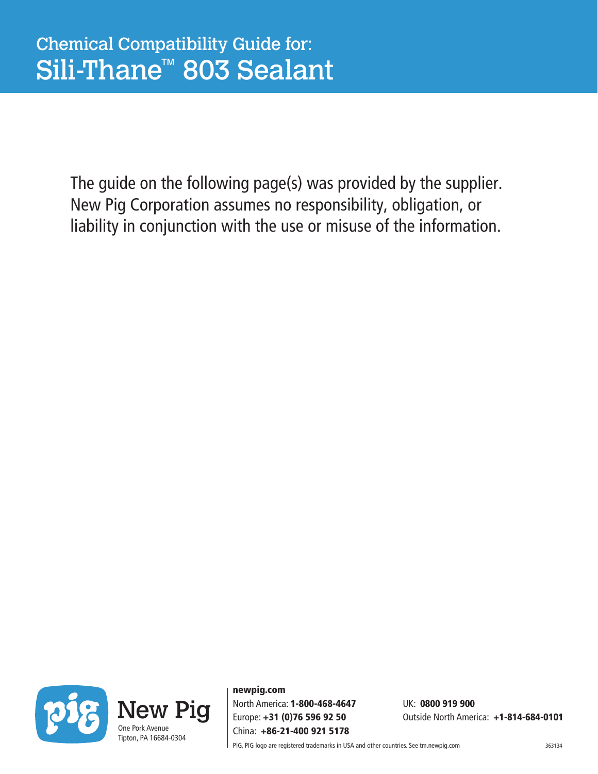The guide on the following page(s) was provided by the supplier. New Pig Corporation assumes no responsibility, obligation, or liability in conjunction with the use or misuse of the information.



newpig.com North America: 1-800-468-4647 UK: 0800 919 900 China: +86-21-400 921 5178

Europe: +31 (0)76 596 92 50 Outside North America: +1-814-684-0101

PIG, PIG logo are registered trademarks in USA and other countries. See tm.newpig.com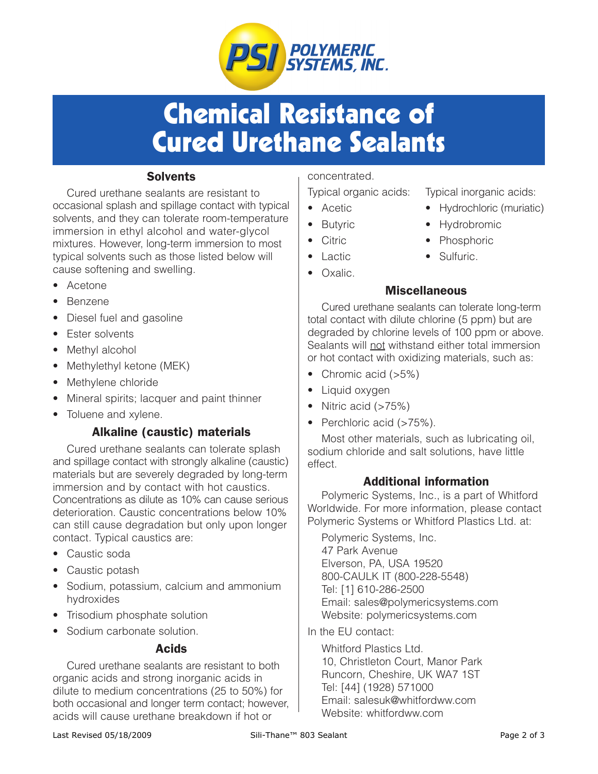

# Chemical Resistance of Cured Urethane Sealants

## **Solvents**

Cured urethane sealants are resistant to occasional splash and spillage contact with typical solvents, and they can tolerate room-temperature immersion in ethyl alcohol and water-glycol mixtures. However, long-term immersion to most typical solvents such as those listed below will cause softening and swelling.

- Acetone
- **Benzene**
- Diesel fuel and gasoline
- Ester solvents
- Methyl alcohol
- Methylethyl ketone (MEK)
- Methylene chloride
- Mineral spirits; lacquer and paint thinner
- Toluene and xylene.

### Alkaline (caustic) materials

Cured urethane sealants can tolerate splash and spillage contact with strongly alkaline (caustic) materials but are severely degraded by long-term immersion and by contact with hot caustics. Concentrations as dilute as 10% can cause serious deterioration. Caustic concentrations below 10% can still cause degradation but only upon longer contact. Typical caustics are:

- Caustic soda
- Caustic potash
- Sodium, potassium, calcium and ammonium hydroxides
- Trisodium phosphate solution
- Sodium carbonate solution.

### Acids

Cured urethane sealants are resistant to both organic acids and strong inorganic acids in dilute to medium concentrations (25 to 50%) for both occasional and longer term contact; however, acids will cause urethane breakdown if hot or

#### concentrated.

- 
- 
- 
- 
- Oxalic.
- Typical organic acids: Typical inorganic acids:
- Acetic Hydrochloric (muriatic)
- Butyric Hydrobromic
- Citric Phosphoric
- Lactic Sulfuric.

### **Miscellaneous**

Cured urethane sealants can tolerate long-term total contact with dilute chlorine (5 ppm) but are degraded by chlorine levels of 100 ppm or above. Sealants will not withstand either total immersion or hot contact with oxidizing materials, such as:

- Chromic acid (>5%)
- Liquid oxygen
- Nitric acid (>75%)
- Perchloric acid (>75%).

Most other materials, such as lubricating oil, sodium chloride and salt solutions, have little effect.

#### Additional information

Polymeric Systems, Inc., is a part of Whitford Worldwide. For more information, please contact Polymeric Systems or Whitford Plastics Ltd. at:

Polymeric Systems, Inc. 47 Park Avenue Elverson, PA, USA 19520 800-CAULK IT (800-228-5548) Tel: [1] 610-286-2500 Email: sales@polymericsystems.com Website: polymericsystems.com

In the EU contact:

Whitford Plastics Ltd. 10, Christleton Court, Manor Park Runcorn, Cheshire, UK WA7 1ST Tel: [44] (1928) 571000 Email: salesuk@whitfordww.com Website: whitfordww.com